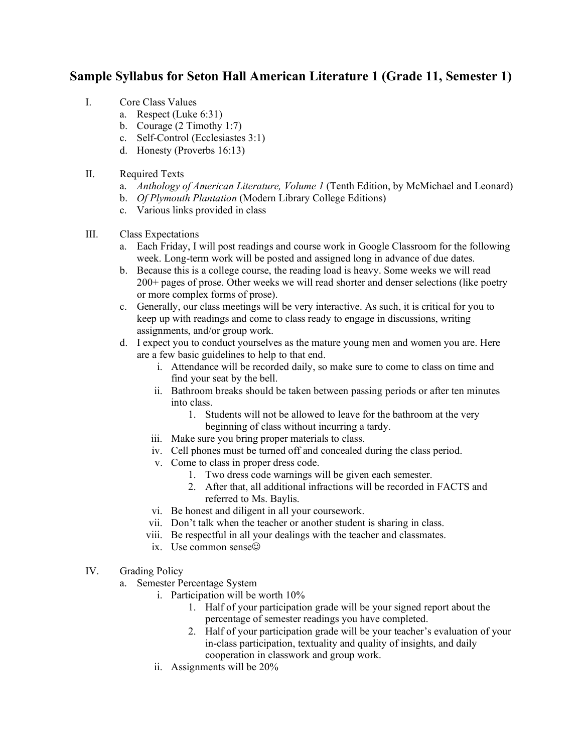## **Sample Syllabus for Seton Hall American Literature 1 (Grade 11, Semester 1)**

- I. Core Class Values
	- a. Respect (Luke 6:31)
	- b. Courage (2 Timothy 1:7)
	- c. Self-Control (Ecclesiastes 3:1)
	- d. Honesty (Proverbs 16:13)
- II. Required Texts
	- a. *Anthology of American Literature, Volume 1* (Tenth Edition, by McMichael and Leonard)
	- b. *Of Plymouth Plantation* (Modern Library College Editions)
	- c. Various links provided in class
- III. Class Expectations
	- a. Each Friday, I will post readings and course work in Google Classroom for the following week. Long-term work will be posted and assigned long in advance of due dates.
	- b. Because this is a college course, the reading load is heavy. Some weeks we will read 200+ pages of prose. Other weeks we will read shorter and denser selections (like poetry or more complex forms of prose).
	- c. Generally, our class meetings will be very interactive. As such, it is critical for you to keep up with readings and come to class ready to engage in discussions, writing assignments, and/or group work.
	- d. I expect you to conduct yourselves as the mature young men and women you are. Here are a few basic guidelines to help to that end.
		- i. Attendance will be recorded daily, so make sure to come to class on time and find your seat by the bell.
		- ii. Bathroom breaks should be taken between passing periods or after ten minutes into class.
			- 1. Students will not be allowed to leave for the bathroom at the very beginning of class without incurring a tardy.
		- iii. Make sure you bring proper materials to class.
		- iv. Cell phones must be turned off and concealed during the class period.
		- v. Come to class in proper dress code.
			- 1. Two dress code warnings will be given each semester.
			- 2. After that, all additional infractions will be recorded in FACTS and referred to Ms. Baylis.
		- vi. Be honest and diligent in all your coursework.
		- vii. Don't talk when the teacher or another student is sharing in class.
		- viii. Be respectful in all your dealings with the teacher and classmates.
		- ix. Use common sense
- IV. Grading Policy
	- a. Semester Percentage System
		- i. Participation will be worth 10%
			- 1. Half of your participation grade will be your signed report about the percentage of semester readings you have completed.
			- 2. Half of your participation grade will be your teacher's evaluation of your in-class participation, textuality and quality of insights, and daily cooperation in classwork and group work.
		- ii. Assignments will be 20%